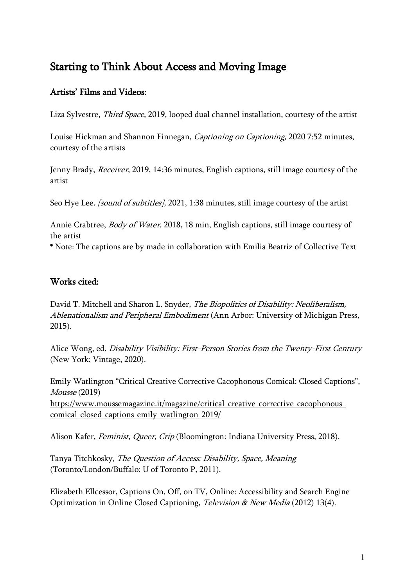# Starting to Think About Access and Moving Image

#### Artists' Films and Videos:

Liza Sylvestre, Third Space, 2019, looped dual channel installation, courtesy of the artist

Louise Hickman and Shannon Finnegan, Captioning on Captioning, 2020 7:52 minutes, courtesy of the artists

Jenny Brady, Receiver, 2019, 14:36 minutes, English captions, still image courtesy of the artist

Seo Hye Lee, *[sound of subtitles]*, 2021, 1:38 minutes, still image courtesy of the artist

Annie Crabtree, Body of Water, 2018, 18 min, English captions, still image courtesy of the artist

\* Note: The captions are by made in collaboration with Emilia Beatriz of Collective Text

## Works cited:

David T. Mitchell and Sharon L. Snyder, The Biopolitics of Disability: Neoliberalism, Ablenationalism and Peripheral Embodiment (Ann Arbor: University of Michigan Press, 2015).

Alice Wong, ed. Disability Visibility: First-Person Stories from the Twenty-First Century (New York: Vintage, 2020).

Emily Watlington "Critical Creative Corrective Cacophonous Comical: Closed Captions", Mousse (2019) [https://www.moussemagazine.it/magazine/critical-creative-corrective-cacophonous](https://www.moussemagazine.it/magazine/critical-creative-corrective-cacophonous-comical-closed-captions-emily-watlington-2019/)[comical-closed-captions-emily-watlington-2019/](https://www.moussemagazine.it/magazine/critical-creative-corrective-cacophonous-comical-closed-captions-emily-watlington-2019/)

Alison Kafer, Feminist, Queer, Crip (Bloomington: Indiana University Press, 2018).

Tanya Titchkosky, The Question of Access: Disability, Space, Meaning (Toronto/London/Buffalo: U of Toronto P, 2011).

Elizabeth Ellcessor, Captions On, Off, on TV, Online: Accessibility and Search Engine Optimization in Online Closed Captioning, Television & New Media (2012) 13(4).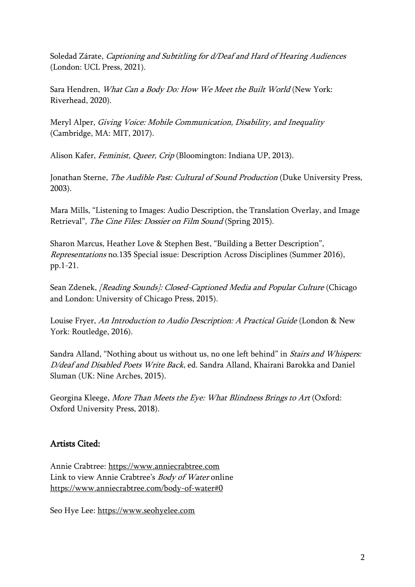Soledad Zárate, Captioning and Subtitling for d/Deaf and Hard of Hearing Audiences (London: UCL Press, 2021).

Sara Hendren, What Can a Body Do: How We Meet the Built World (New York: Riverhead, 2020).

Meryl Alper, Giving Voice: Mobile Communication, Disability, and Inequality (Cambridge, MA: MIT, 2017).

Alison Kafer, Feminist, Queer, Crip (Bloomington: Indiana UP, 2013).

Jonathan Sterne, *The Audible Past: Cultural of Sound Production* (Duke University Press, 2003).

Mara Mills, "Listening to Images: Audio Description, the Translation Overlay, and Image Retrieval", The Cine Files: Dossier on Film Sound (Spring 2015).

Sharon Marcus, Heather Love & Stephen Best, "Building a Better Description", Representations no.135 Special issue: Description Across Disciplines (Summer 2016), pp.1-21.

Sean Zdenek, [Reading Sounds]: Closed-Captioned Media and Popular Culture (Chicago and London: University of Chicago Press, 2015).

Louise Fryer, An Introduction to Audio Description: A Practical Guide (London & New York: Routledge, 2016).

Sandra Alland, "Nothing about us without us, no one left behind" in Stairs and Whispers: D/deaf and Disabled Poets Write Back, ed. Sandra Alland, Khairani Barokka and Daniel Sluman (UK: Nine Arches, 2015).

Georgina Kleege, More Than Meets the Eye: What Blindness Brings to Art (Oxford: Oxford University Press, 2018).

## Artists Cited:

Annie Crabtree: [https://www.anniecrabtree.com](https://www.anniecrabtree.com/) Link to view Annie Crabtree's Body of Water online <https://www.anniecrabtree.com/body-of-water#0>

Seo Hye Lee: [https://www.seohyelee.com](https://www.seohyelee.com/)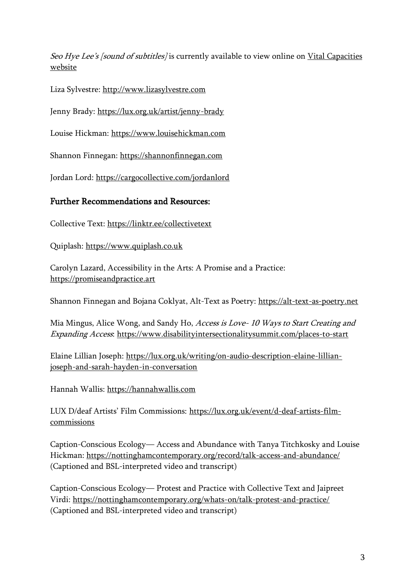Seo Hye Lee's [sound of subtitles] is currently available to view online on Vital Capacities [website](https://vitalcapacities.com/exhibition/seo-hye-lee/)

Liza Sylvestre: [http://www.lizasylvestre.com](http://www.lizasylvestre.com/)

Jenny Brady:<https://lux.org.uk/artist/jenny-brady>

Louise Hickman: [https://www.louisehickman.com](https://www.louisehickman.com/)

Shannon Finnegan: [https://shannonfinnegan.com](https://shannonfinnegan.com/)

Jordan Lord:<https://cargocollective.com/jordanlord>

#### Further Recommendations and Resources:

Collective Text:<https://linktr.ee/collectivetext>

Quiplash: [https://www.quiplash.co.uk](https://www.quiplash.co.uk/)

Carolyn Lazard, Accessibility in the Arts: A Promise and a Practice: [https://promiseandpractice.art](https://promiseandpractice.art/)

Shannon Finnegan and Bojana Coklyat, Alt-Text as Poetry: [https://alt-text-as-poetry.net](https://alt-text-as-poetry.net/)

Mia Mingus, Alice Wong, and Sandy Ho, Access is Love- 10 Ways to Start Creating and Expanding Access:<https://www.disabilityintersectionalitysummit.com/places-to-start>

Elaine Lillian Joseph: [https://lux.org.uk/writing/on-audio-description-elaine-lillian](https://lux.org.uk/writing/on-audio-description-elaine-lillian-joseph-and-sarah-hayden-in-conversation)[joseph-and-sarah-hayden-in-conversation](https://lux.org.uk/writing/on-audio-description-elaine-lillian-joseph-and-sarah-hayden-in-conversation)

Hannah Wallis: [https://hannahwallis.com](https://hannahwallis.com/)

LUX D/deaf Artists' Film Commissions: [https://lux.org.uk/event/d-deaf-artists-film](https://lux.org.uk/event/d-deaf-artists-film-commissions)[commissions](https://lux.org.uk/event/d-deaf-artists-film-commissions)

Caption-Conscious Ecology— Access and Abundance with Tanya Titchkosky and Louise Hickman:<https://nottinghamcontemporary.org/record/talk-access-and-abundance/> (Captioned and BSL-interpreted video and transcript)

Caption-Conscious Ecology— Protest and Practice with Collective Text and Jaipreet Virdi:<https://nottinghamcontemporary.org/whats-on/talk-protest-and-practice/> (Captioned and BSL-interpreted video and transcript)